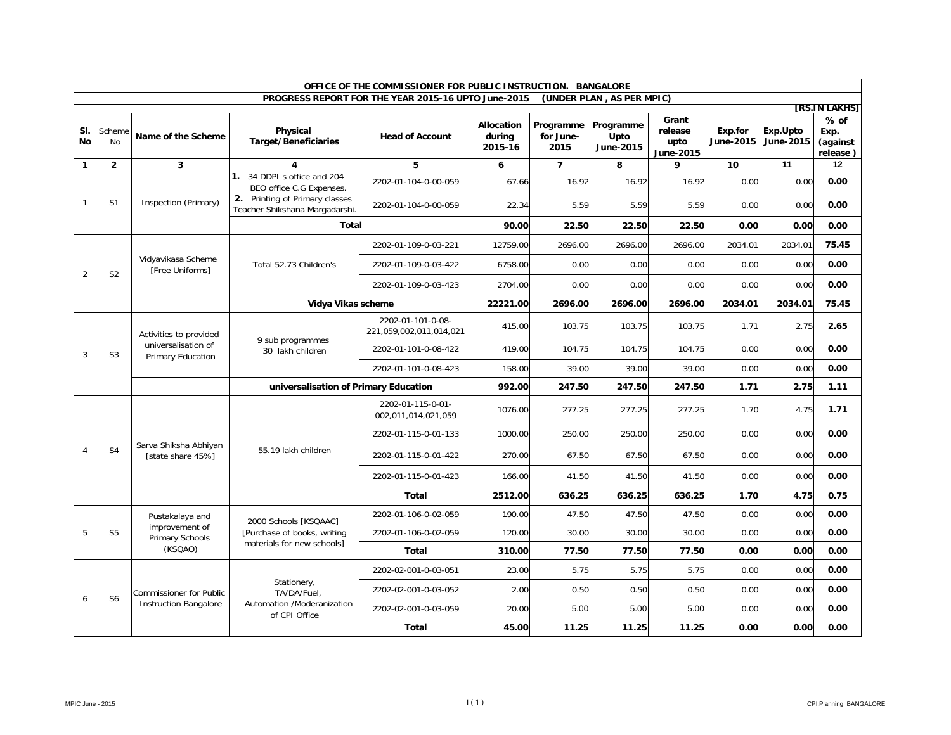|                | OFFICE OF THE COMMISSIONER FOR PUBLIC INSTRUCTION. BANGALORE |                                                                    |                                                                                           |                                                     |                                 |                                |                                |                                       |                             |                       |                                        |      |      |
|----------------|--------------------------------------------------------------|--------------------------------------------------------------------|-------------------------------------------------------------------------------------------|-----------------------------------------------------|---------------------------------|--------------------------------|--------------------------------|---------------------------------------|-----------------------------|-----------------------|----------------------------------------|------|------|
|                |                                                              |                                                                    |                                                                                           | PROGRESS REPORT FOR THE YEAR 2015-16 UPTO June-2015 |                                 |                                | (UNDER PLAN, AS PER MPIC)      |                                       |                             |                       | [RS.IN LAKHS]                          |      |      |
| SI.<br>No      | Scheme<br>No                                                 | Name of the Scheme                                                 | Physical<br><b>Target/Beneficiaries</b>                                                   | <b>Head of Account</b>                              | Allocation<br>durina<br>2015-16 | Programme<br>for June-<br>2015 | Programme<br>Upto<br>June-2015 | Grant<br>release<br>upto<br>June-2015 | Exp.for<br><b>June-2015</b> | Exp.Upto<br>June-2015 | $%$ of<br>Exp.<br>(against<br>release) |      |      |
| $\mathbf{1}$   | $\overline{2}$                                               | 3                                                                  | 4                                                                                         | 5                                                   | 6                               | $\overline{7}$                 | 8                              | 9                                     | 10                          | 11                    | 12                                     |      |      |
|                |                                                              |                                                                    | 1. 34 DDPI s office and 204<br>BEO office C.G Expenses.<br>2. Printing of Primary classes | 2202-01-104-0-00-059                                | 67.66                           | 16.92                          | 16.92                          | 16.92                                 | 0.00                        | 0.00                  | 0.00                                   |      |      |
| $\mathbf{1}$   | S <sub>1</sub>                                               | Inspection (Primary)                                               | Teacher Shikshana Margadarshi.                                                            | 2202-01-104-0-00-059                                | 22.34                           | 5.59                           | 5.59                           | 5.59                                  | 0.00                        | 0.00                  | 0.00                                   |      |      |
|                |                                                              |                                                                    | <b>Total</b>                                                                              |                                                     | 90.00                           | 22.50                          | 22.50                          | 22.50                                 | 0.00                        | 0.00                  | 0.00                                   |      |      |
|                |                                                              |                                                                    |                                                                                           | 2202-01-109-0-03-221                                | 12759.00                        | 2696.00                        | 2696.00                        | 2696.00                               | 2034.01                     | 2034.01               | 75.45                                  |      |      |
| $\overline{2}$ | S <sub>2</sub>                                               | Vidyavikasa Scheme<br>[Free Uniforms]                              | Total 52.73 Children's                                                                    | 2202-01-109-0-03-422                                | 6758.00                         | 0.00                           | 0.00                           | 0.00                                  | 0.00                        | 0.00                  | 0.00                                   |      |      |
|                |                                                              |                                                                    |                                                                                           | 2202-01-109-0-03-423                                | 2704.00                         | 0.00                           | 0.00                           | 0.00                                  | 0.00                        | 0.00                  | 0.00                                   |      |      |
|                |                                                              |                                                                    | Vidya Vikas scheme                                                                        |                                                     | 22221.00                        | 2696.00                        | 2696.00                        | 2696.00                               | 2034.01                     | 2034.01               | 75.45                                  |      |      |
|                | S <sub>3</sub>                                               | Activities to provided<br>universalisation of<br>Primary Education | 9 sub programmes<br>30 lakh children                                                      | 2202-01-101-0-08-<br>221,059,002,011,014,021        | 415.00                          | 103.75                         | 103.75                         | 103.75                                | 1.71                        | 2.75                  | 2.65                                   |      |      |
| 3              |                                                              |                                                                    |                                                                                           | 2202-01-101-0-08-422                                | 419.00                          | 104.75                         | 104.75                         | 104.75                                | 0.00                        | 0.00                  | 0.00                                   |      |      |
|                |                                                              |                                                                    |                                                                                           | 2202-01-101-0-08-423                                | 158.00                          | 39.00                          | 39.00                          | 39.00                                 | 0.00                        | 0.00                  | 0.00                                   |      |      |
|                |                                                              |                                                                    | universalisation of Primary Education                                                     | 992.00                                              | 247.50                          | 247.50                         | 247.50                         | 1.71                                  | 2.75                        | 1.11                  |                                        |      |      |
|                |                                                              | Sarva Shiksha Abhiyan<br>[state share 45%]                         |                                                                                           | 2202-01-115-0-01-<br>002,011,014,021,059            | 1076.00                         | 277.25                         | 277.25                         | 277.25                                | 1.70                        | 4.75                  | 1.71                                   |      |      |
|                |                                                              |                                                                    |                                                                                           | 2202-01-115-0-01-133                                | 1000.00                         | 250.00                         | 250.00                         | 250.00                                | 0.00                        | 0.00                  | 0.00                                   |      |      |
| $\overline{4}$ | S <sub>4</sub>                                               |                                                                    | 55.19 lakh children                                                                       | 2202-01-115-0-01-422                                | 270.00                          | 67.50                          | 67.50                          | 67.50                                 | 0.00                        | 0.00                  | 0.00                                   |      |      |
|                |                                                              |                                                                    |                                                                                           | 2202-01-115-0-01-423                                | 166.00                          | 41.50                          | 41.50                          | 41.50                                 | 0.00                        | 0.00                  | 0.00                                   |      |      |
|                |                                                              |                                                                    |                                                                                           | Total                                               | 2512.00                         | 636.25                         | 636.25                         | 636.25                                | 1.70                        | 4.75                  | 0.75                                   |      |      |
|                |                                                              | Pustakalaya and                                                    | 2000 Schools [KSQAAC]                                                                     | 2202-01-106-0-02-059                                | 190.00                          | 47.50                          | 47.50                          | 47.50                                 | 0.00                        | 0.00                  | 0.00                                   |      |      |
| 5              | S <sub>5</sub>                                               | improvement of<br>Primary Schools                                  | [Purchase of books, writing                                                               | 2202-01-106-0-02-059                                | 120.00                          | 30.00                          | 30.00                          | 30.00                                 | 0.00                        | 0.00                  | 0.00                                   |      |      |
|                |                                                              | (KSQAO)                                                            | materials for new schools]                                                                | Total                                               | 310.00                          | 77.50                          | 77.50                          | 77.50                                 | 0.00                        | 0.00                  | 0.00                                   |      |      |
|                |                                                              |                                                                    |                                                                                           | 2202-02-001-0-03-051                                | 23.00                           | 5.75                           | 5.75                           | 5.75                                  | 0.00                        | 0.00                  | 0.00                                   |      |      |
| 6              | S <sub>6</sub>                                               | <b>Commissioner for Public</b>                                     | Stationery,<br>TA/DA/Fuel.                                                                | 2202-02-001-0-03-052                                | 2.00                            | 0.50                           | 0.50                           | 0.50                                  | 0.00                        | 0.00                  | 0.00                                   |      |      |
|                |                                                              | <b>Instruction Bangalore</b>                                       | Automation /Moderanization<br>of CPI Office                                               | 2202-02-001-0-03-059                                | 20.00                           | 5.00                           | 5.00                           | 5.00                                  | 0.00                        | 0.00                  | 0.00                                   |      |      |
|                |                                                              |                                                                    |                                                                                           |                                                     |                                 | <b>Total</b>                   | 45.00                          | 11.25                                 | 11.25                       | 11.25                 | 0.00                                   | 0.00 | 0.00 |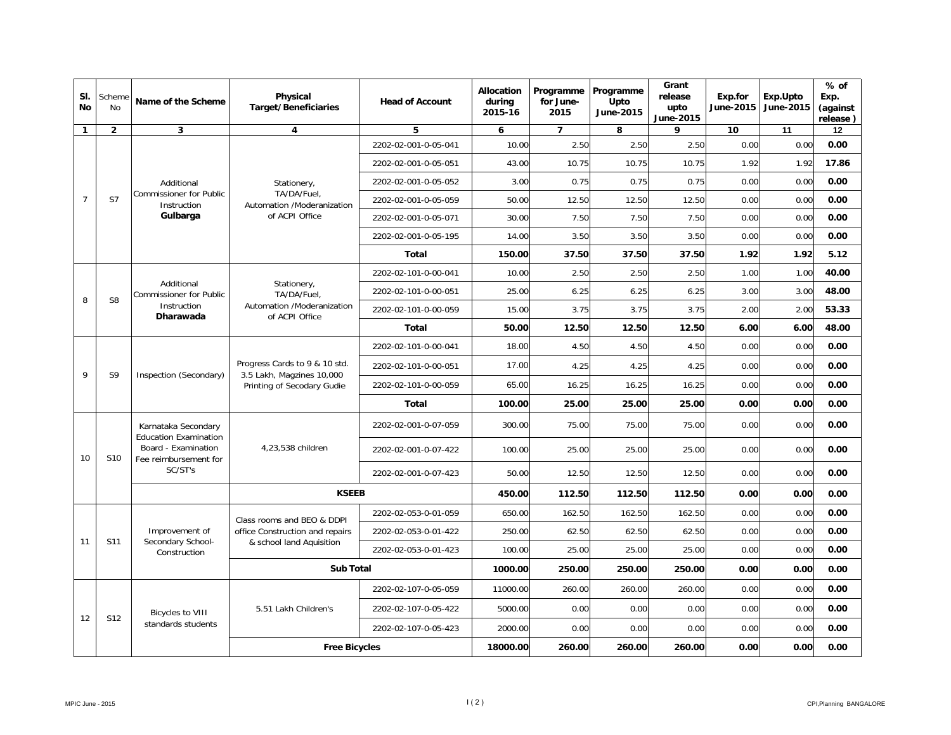| SI.<br>No      | Scheme<br>No   | Name of the Scheme                                                                                             | Physical<br><b>Target/Beneficiaries</b>                                                  | <b>Head of Account</b> | Allocation<br>during<br>2015-16 | Programme<br>for June-<br>2015 | Programme<br>Upto<br>June-2015 | Grant<br>release<br>upto<br>June-2015 | Exp.for<br><b>June-2015</b> | Exp.Upto<br>June-2015 | $%$ of<br>Exp.<br>(against<br>release) |
|----------------|----------------|----------------------------------------------------------------------------------------------------------------|------------------------------------------------------------------------------------------|------------------------|---------------------------------|--------------------------------|--------------------------------|---------------------------------------|-----------------------------|-----------------------|----------------------------------------|
| $\mathbf{1}$   | $\overline{2}$ | 3                                                                                                              | 4                                                                                        | 5                      | 6                               | $\overline{7}$                 | 8                              | 9                                     | 10                          | 11                    | 12                                     |
|                |                |                                                                                                                |                                                                                          | 2202-02-001-0-05-041   | 10.00                           | 2.50                           | 2.50                           | 2.50                                  | 0.00                        | 0.00                  | 0.00                                   |
|                |                |                                                                                                                |                                                                                          | 2202-02-001-0-05-051   | 43.00                           | 10.75                          | 10.75                          | 10.75                                 | 1.92                        | 1.92                  | 17.86                                  |
|                |                | Additional                                                                                                     | Stationery,                                                                              | 2202-02-001-0-05-052   | 3.00                            | 0.75                           | 0.75                           | 0.75                                  | 0.00                        | 0.00                  | 0.00                                   |
| $\overline{7}$ | S7             | <b>Commissioner for Public</b><br>Instruction                                                                  | TA/DA/Fuel,<br>Automation /Moderanization                                                | 2202-02-001-0-05-059   | 50.00                           | 12.50                          | 12.50                          | 12.50                                 | 0.00                        | 0.00                  | 0.00                                   |
|                |                | Gulbarga                                                                                                       | of ACPI Office                                                                           | 2202-02-001-0-05-071   | 30.00                           | 7.50                           | 7.50                           | 7.50                                  | 0.00                        | 0.00                  | 0.00                                   |
|                |                |                                                                                                                |                                                                                          | 2202-02-001-0-05-195   | 14.00                           | 3.50                           | 3.50                           | 3.50                                  | 0.00                        | 0.00                  | 0.00                                   |
|                |                |                                                                                                                |                                                                                          | <b>Total</b>           | 150.00                          | 37.50                          | 37.50                          | 37.50                                 | 1.92                        | 1.92                  | 5.12                                   |
|                |                |                                                                                                                |                                                                                          | 2202-02-101-0-00-041   | 10.00                           | 2.50                           | 2.50                           | 2.50                                  | 1.00                        | 1.00                  | 40.00                                  |
|                | S <sub>8</sub> | Additional<br><b>Commissioner for Public</b><br>Instruction<br>Dharawada                                       | Stationery,<br>TA/DA/Fuel,<br>Automation /Moderanization<br>of ACPI Office               | 2202-02-101-0-00-051   | 25.00                           | 6.25                           | 6.25                           | 6.25                                  | 3.00                        | 3.00                  | 48.00                                  |
| 8              |                |                                                                                                                |                                                                                          | 2202-02-101-0-00-059   | 15.00                           | 3.75                           | 3.75                           | 3.75                                  | 2.00                        | 2.00                  | 53.33                                  |
|                |                |                                                                                                                |                                                                                          | <b>Total</b>           | 50.00                           | 12.50                          | 12.50                          | 12.50                                 | 6.00                        | 6.00                  | 48.00                                  |
|                | S <sub>9</sub> | Inspection (Secondary)                                                                                         | Progress Cards to 9 & 10 std.<br>3.5 Lakh, Magzines 10,000<br>Printing of Secodary Gudie | 2202-02-101-0-00-041   | 18.00                           | 4.50                           | 4.50                           | 4.50                                  | 0.00                        | 0.00                  | 0.00                                   |
| 9              |                |                                                                                                                |                                                                                          | 2202-02-101-0-00-051   | 17.00                           | 4.25                           | 4.25                           | 4.25                                  | 0.00                        | 0.00                  | 0.00                                   |
|                |                |                                                                                                                |                                                                                          | 2202-02-101-0-00-059   | 65.00                           | 16.25                          | 16.25                          | 16.25                                 | 0.00                        | 0.00                  | 0.00                                   |
|                |                |                                                                                                                |                                                                                          | Total                  | 100.00                          | 25.00                          | 25.00                          | 25.00                                 | 0.00                        | 0.00                  | 0.00                                   |
|                |                | Karnataka Secondary<br><b>Education Examination</b><br>Board - Examination<br>Fee reimbursement for<br>SC/ST's | 4,23,538 children                                                                        | 2202-02-001-0-07-059   | 300.00                          | 75.00                          | 75.00                          | 75.00                                 | 0.00                        | 0.00                  | 0.00                                   |
| 10             | S10            |                                                                                                                |                                                                                          | 2202-02-001-0-07-422   | 100.00                          | 25.00                          | 25.00                          | 25.00                                 | 0.00                        | 0.00                  | 0.00                                   |
|                |                |                                                                                                                |                                                                                          | 2202-02-001-0-07-423   | 50.00                           | 12.50                          | 12.50                          | 12.50                                 | 0.00                        | 0.00                  | 0.00                                   |
|                |                |                                                                                                                | <b>KSEEB</b>                                                                             |                        | 450.00                          | 112.50                         | 112.50                         | 112.50                                | 0.00                        | 0.00                  | 0.00                                   |
|                |                |                                                                                                                | Class rooms and BEO & DDPI                                                               | 2202-02-053-0-01-059   | 650.00                          | 162.50                         | 162.50                         | 162.50                                | 0.00                        | 0.00                  | 0.00                                   |
|                |                | Improvement of                                                                                                 | office Construction and repairs                                                          | 2202-02-053-0-01-422   | 250.00                          | 62.50                          | 62.50                          | 62.50                                 | 0.00                        | 0.00                  | 0.00                                   |
| 11             | S11            | Secondary School-<br>Construction                                                                              | & school land Aquisition                                                                 | 2202-02-053-0-01-423   | 100.00                          | 25.00                          | 25.00                          | 25.00                                 | 0.00                        | 0.00                  | 0.00                                   |
|                |                |                                                                                                                | <b>Sub Total</b>                                                                         |                        | 1000.00                         | 250.00                         | 250.00                         | 250.00                                | 0.00                        | 0.00                  | 0.00                                   |
|                |                |                                                                                                                |                                                                                          | 2202-02-107-0-05-059   | 11000.00                        | 260.00                         | 260.00                         | 260.00                                | 0.00                        | 0.00                  | 0.00                                   |
|                |                | <b>Bicycles to VIII</b>                                                                                        | 5.51 Lakh Children's                                                                     | 2202-02-107-0-05-422   | 5000.00                         | 0.00                           | 0.00                           | 0.00                                  | 0.00                        | 0.00                  | 0.00                                   |
| 12             | S12            | standards students                                                                                             |                                                                                          | 2202-02-107-0-05-423   | 2000.00                         | 0.00                           | 0.00                           | 0.00                                  | 0.00                        | 0.00                  | 0.00                                   |
|                |                |                                                                                                                | <b>Free Bicycles</b>                                                                     |                        | 18000.00                        | 260.00                         | 260.00                         | 260.00                                | 0.00                        | 0.00                  | 0.00                                   |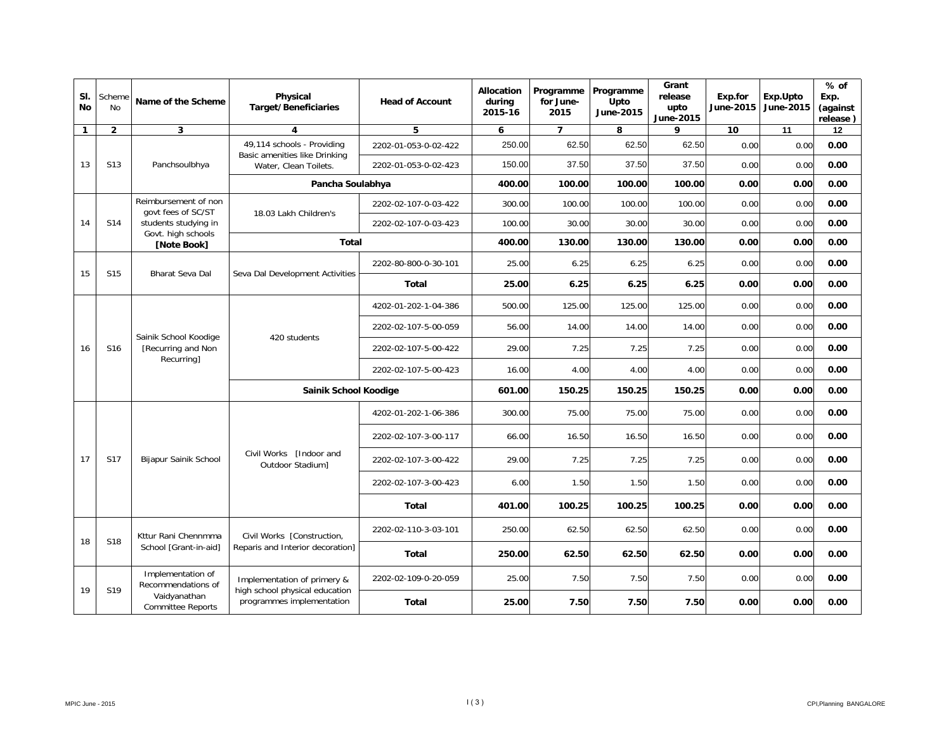| SI.<br><b>No</b> | Scheme<br><b>No</b> | Name of the Scheme                                        | Physical<br><b>Target/Beneficiaries</b>                     | <b>Head of Account</b> | <b>Allocation</b><br>during<br>2015-16                      | Programme<br>for June-<br>2015 | Programme<br>Upto<br>June-2015 | Grant<br>release<br>upto<br>June-2015 | Exp.for<br>June-2015 | Exp.Upto<br>June-2015 | $%$ of<br>Exp.<br>(against<br>release) |      |      |
|------------------|---------------------|-----------------------------------------------------------|-------------------------------------------------------------|------------------------|-------------------------------------------------------------|--------------------------------|--------------------------------|---------------------------------------|----------------------|-----------------------|----------------------------------------|------|------|
| $\mathbf{1}$     | $\overline{2}$      | 3                                                         | $\overline{\mathbf{4}}$                                     | 5                      | 6                                                           | $\overline{7}$                 | 8                              | 9                                     | 10                   | 11                    | 12                                     |      |      |
|                  |                     |                                                           | 49,114 schools - Providing<br>Basic amenities like Drinking | 2202-01-053-0-02-422   | 250.00                                                      | 62.50                          | 62.50                          | 62.50                                 | 0.00                 | 0.00                  | 0.00                                   |      |      |
| 13               | S <sub>13</sub>     | Panchsoulbhya                                             | Water, Clean Toilets.                                       | 2202-01-053-0-02-423   | 150.00                                                      | 37.50                          | 37.50                          | 37.50                                 | 0.00                 | 0.00                  | 0.00                                   |      |      |
|                  |                     |                                                           | Pancha Soulabhya                                            |                        | 400.00                                                      | 100.00                         | 100.00                         | 100.00                                | 0.00                 | 0.00                  | 0.00                                   |      |      |
|                  |                     | Reimbursement of non<br>govt fees of SC/ST                | 18.03 Lakh Children's                                       | 2202-02-107-0-03-422   | 300.00                                                      | 100.00                         | 100.00                         | 100.00                                | 0.00                 | 0.00                  | 0.00                                   |      |      |
| 14               | S14                 | students studying in<br>Govt. high schools                |                                                             | 2202-02-107-0-03-423   | 100.00                                                      | 30.00                          | 30.00                          | 30.00                                 | 0.00                 | 0.00                  | 0.00                                   |      |      |
|                  |                     | [Note Book]                                               | <b>Total</b>                                                |                        | 400.00                                                      | 130.00                         | 130.00                         | 130.00                                | 0.00                 | 0.00                  | 0.00                                   |      |      |
| 15               | S <sub>15</sub>     | <b>Bharat Seva Dal</b>                                    | Seva Dal Development Activities                             | 2202-80-800-0-30-101   | 25.00                                                       | 6.25                           | 6.25                           | 6.25                                  | 0.00                 | 0.00                  | 0.00                                   |      |      |
|                  |                     |                                                           |                                                             | <b>Total</b>           | 25.00                                                       | 6.25                           | 6.25                           | 6.25                                  | 0.00                 | 0.00                  | 0.00                                   |      |      |
|                  | S16                 | Sainik School Koodige<br>[Recurring and Non<br>Recurring] | 420 students                                                | 4202-01-202-1-04-386   | 500.00                                                      | 125.00                         | 125.00                         | 125.00                                | 0.00                 | 0.00                  | 0.00                                   |      |      |
|                  |                     |                                                           |                                                             | 2202-02-107-5-00-059   | 56.00                                                       | 14.00                          | 14.00                          | 14.00                                 | 0.00                 | 0.00                  | 0.00                                   |      |      |
| 16               |                     |                                                           |                                                             | 2202-02-107-5-00-422   | 29.00                                                       | 7.25                           | 7.25                           | 7.25                                  | 0.00                 | 0.00                  | 0.00                                   |      |      |
|                  |                     |                                                           |                                                             | 2202-02-107-5-00-423   | 16.00                                                       | 4.00                           | 4.00                           | 4.00                                  | 0.00                 | 0.00                  | 0.00                                   |      |      |
|                  |                     |                                                           | Sainik School Koodige                                       |                        | 601.00                                                      | 150.25                         | 150.25                         | 150.25                                | 0.00                 | 0.00                  | 0.00                                   |      |      |
|                  |                     |                                                           |                                                             | 4202-01-202-1-06-386   | 300.00                                                      | 75.00                          | 75.00                          | 75.00                                 | 0.00                 | 0.00                  | 0.00                                   |      |      |
|                  |                     |                                                           |                                                             | 2202-02-107-3-00-117   | 66.00                                                       | 16.50                          | 16.50                          | 16.50                                 | 0.00                 | 0.00                  | 0.00                                   |      |      |
| 17               | S17                 | Bijapur Sainik School                                     | Civil Works [Indoor and<br>Outdoor Stadium]                 | 2202-02-107-3-00-422   | 29.00                                                       | 7.25                           | 7.25                           | 7.25                                  | 0.00                 | 0.00                  | 0.00                                   |      |      |
|                  |                     |                                                           |                                                             | 2202-02-107-3-00-423   | 6.00                                                        | 1.50                           | 1.50                           | 1.50                                  | 0.00                 | 0.00                  | 0.00                                   |      |      |
|                  |                     |                                                           |                                                             | <b>Total</b>           | 401.00                                                      | 100.25                         | 100.25                         | 100.25                                | 0.00                 | 0.00                  | 0.00                                   |      |      |
|                  |                     | Kttur Rani Chennmma                                       | Civil Works [Construction,                                  | 2202-02-110-3-03-101   | 250.00                                                      | 62.50                          | 62.50                          | 62.50                                 | 0.00                 | 0.00                  | 0.00                                   |      |      |
| 18               | S18                 | School [Grant-in-aid]                                     | Reparis and Interior decoration]                            | <b>Total</b>           | 250.00                                                      | 62.50                          | 62.50                          | 62.50                                 | 0.00                 | 0.00                  | 0.00                                   |      |      |
|                  |                     | Implementation of<br>Recommendations of                   | Implementation of primery &                                 | 2202-02-109-0-20-059   | 25.00                                                       | 7.50                           | 7.50                           | 7.50                                  | 0.00                 | 0.00                  | 0.00                                   |      |      |
| 19               | S <sub>19</sub>     | Vaidyanathan<br><b>Committee Reports</b>                  |                                                             |                        | high school physical education<br>programmes implementation | <b>Total</b>                   | 25.00                          | 7.50                                  | 7.50                 | 7.50                  | 0.00                                   | 0.00 | 0.00 |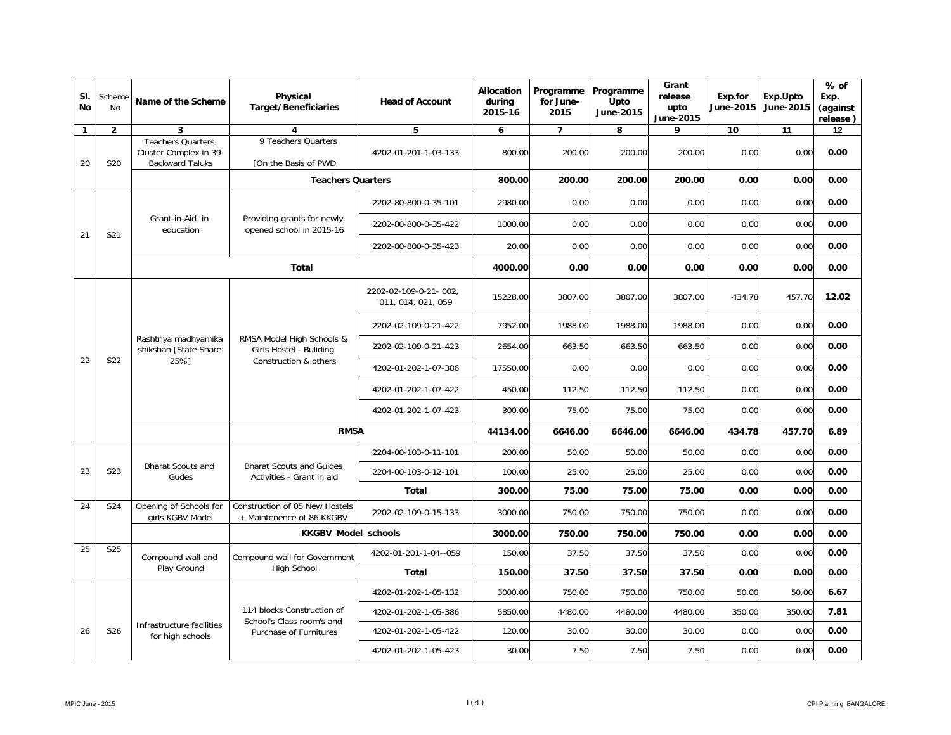| SI.<br><b>No</b> | Scheme<br><b>No</b> | Name of the Scheme                                                          | Physical<br><b>Target/Beneficiaries</b>                                       | <b>Head of Account</b>                      | <b>Allocation</b><br>during<br>2015-16 | Programme<br>for June-<br>2015 | Programme<br>Upto<br>June-2015 | Grant<br>release<br>upto<br>June-2015 | Exp.for<br>June-2015 | Exp.Upto<br>June-2015 | $%$ of<br>Exp.<br>(against<br>release) |
|------------------|---------------------|-----------------------------------------------------------------------------|-------------------------------------------------------------------------------|---------------------------------------------|----------------------------------------|--------------------------------|--------------------------------|---------------------------------------|----------------------|-----------------------|----------------------------------------|
| $\mathbf{1}$     | $\overline{2}$      | 3                                                                           | $\overline{\mathbf{4}}$                                                       | 5                                           | 6                                      | $\overline{7}$                 | 8                              | 9                                     | 10                   | 11                    | 12                                     |
| 20               | S <sub>20</sub>     | <b>Teachers Quarters</b><br>Cluster Complex in 39<br><b>Backward Taluks</b> | 9 Teachers Quarters<br>[On the Basis of PWD                                   | 4202-01-201-1-03-133                        | 800.00                                 | 200.00                         | 200.00                         | 200.00                                | 0.00                 | 0.00                  | 0.00                                   |
|                  |                     |                                                                             | <b>Teachers Quarters</b>                                                      |                                             | 800.00                                 | 200.00                         | 200.00                         | 200.00                                | 0.00                 | 0.00                  | 0.00                                   |
|                  |                     |                                                                             |                                                                               | 2202-80-800-0-35-101                        | 2980.00                                | 0.00                           | 0.00                           | 0.00                                  | 0.00                 | 0.00                  | 0.00                                   |
|                  |                     | Grant-in-Aid in<br>education                                                | Providing grants for newly<br>opened school in 2015-16                        | 2202-80-800-0-35-422                        | 1000.00                                | 0.00                           | 0.00                           | 0.00                                  | 0.00                 | 0.00                  | 0.00                                   |
| 21               | S21                 |                                                                             |                                                                               | 2202-80-800-0-35-423                        | 20.00                                  | 0.00                           | 0.00                           | 0.00                                  | 0.00                 | 0.00                  | 0.00                                   |
|                  |                     |                                                                             | <b>Total</b>                                                                  |                                             | 4000.00                                | 0.00                           | 0.00                           | 0.00                                  | 0.00                 | 0.00                  | 0.00                                   |
|                  | S22                 | Rashtriya madhyamika<br>shikshan [State Share                               | RMSA Model High Schools &<br>Girls Hostel - Buliding<br>Construction & others | 2202-02-109-0-21-002,<br>011, 014, 021, 059 | 15228.00                               | 3807.00                        | 3807.00                        | 3807.00                               | 434.78               | 457.70                | 12.02                                  |
|                  |                     |                                                                             |                                                                               | 2202-02-109-0-21-422                        | 7952.00                                | 1988.00                        | 1988.00                        | 1988.00                               | 0.00                 | 0.00                  | 0.00                                   |
|                  |                     |                                                                             |                                                                               | 2202-02-109-0-21-423                        | 2654.00                                | 663.50                         | 663.50                         | 663.50                                | 0.00                 | 0.00                  | 0.00                                   |
| 22               |                     | 25%1                                                                        |                                                                               | 4202-01-202-1-07-386                        | 17550.00                               | 0.00                           | 0.00                           | 0.00                                  | 0.00                 | 0.00                  | 0.00                                   |
|                  |                     |                                                                             |                                                                               | 4202-01-202-1-07-422                        | 450.00                                 | 112.50                         | 112.50                         | 112.50                                | 0.00                 | 0.00                  | 0.00                                   |
|                  |                     |                                                                             |                                                                               | 4202-01-202-1-07-423                        | 300.00                                 | 75.00                          | 75.00                          | 75.00                                 | 0.00                 | 0.00                  | 0.00                                   |
|                  |                     |                                                                             | <b>RMSA</b>                                                                   | 44134.00                                    | 6646.00                                | 6646.00                        | 6646.00                        | 434.78                                | 457.70               | 6.89                  |                                        |
|                  |                     |                                                                             |                                                                               | 2204-00-103-0-11-101                        | 200.00                                 | 50.00                          | 50.00                          | 50.00                                 | 0.00                 | 0.00                  | 0.00                                   |
| 23               | S <sub>23</sub>     | <b>Bharat Scouts and</b><br>Gudes                                           | <b>Bharat Scouts and Guides</b><br>Activities - Grant in aid                  | 2204-00-103-0-12-101                        | 100.00                                 | 25.00                          | 25.00                          | 25.00                                 | 0.00                 | 0.00                  | 0.00                                   |
|                  |                     |                                                                             |                                                                               | Total                                       | 300.00                                 | 75.00                          | 75.00                          | 75.00                                 | 0.00                 | 0.00                  | 0.00                                   |
| 24               | S24                 | Opening of Schools for<br>girls KGBV Model                                  | Construction of 05 New Hostels<br>+ Maintenence of 86 KKGBV                   | 2202-02-109-0-15-133                        | 3000.00                                | 750.00                         | 750.00                         | 750.00                                | 0.00                 | 0.00                  | 0.00                                   |
|                  |                     |                                                                             | <b>KKGBV Model schools</b>                                                    |                                             | 3000.00                                | 750.00                         | 750.00                         | 750.00                                | 0.00                 | 0.00                  | 0.00                                   |
| 25               | S <sub>25</sub>     | Compound wall and                                                           | Compound wall for Government                                                  | 4202-01-201-1-04--059                       | 150.00                                 | 37.50                          | 37.50                          | 37.50                                 | 0.00                 | 0.00                  | 0.00                                   |
|                  |                     | Play Ground                                                                 | <b>High School</b>                                                            | <b>Total</b>                                | 150.00                                 | 37.50                          | 37.50                          | 37.50                                 | 0.00                 | 0.00                  | 0.00                                   |
|                  |                     |                                                                             |                                                                               | 4202-01-202-1-05-132                        | 3000.00                                | 750.00                         | 750.00                         | 750.00                                | 50.00                | 50.00                 | 6.67                                   |
|                  |                     |                                                                             | 114 blocks Construction of<br>School's Class room's and                       | 4202-01-202-1-05-386                        | 5850.00                                | 4480.00                        | 4480.00                        | 4480.00                               | 350.00               | 350.00                | 7.81                                   |
| 26               | S26                 | Infrastructure facilities<br>for high schools                               | Purchase of Furnitures                                                        | 4202-01-202-1-05-422                        | 120.00                                 | 30.00                          | 30.00                          | 30.00                                 | 0.00                 | 0.00                  | 0.00                                   |
|                  |                     |                                                                             |                                                                               | 4202-01-202-1-05-423                        | 30.00                                  | 7.50                           | 7.50                           | 7.50                                  | 0.00                 | 0.00                  | 0.00                                   |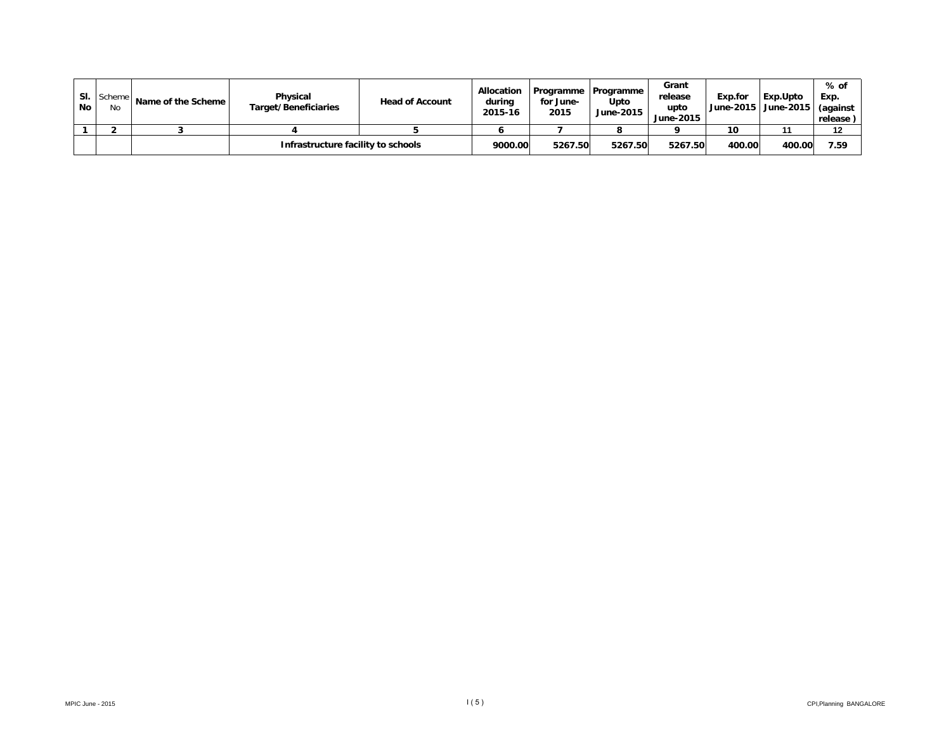| SI.<br><b>No</b> | Scheme<br>No | Name of the Scheme | Physical<br>Target/Beneficiaries   | <b>Head of Account</b> | <b>Allocation</b><br>during<br>2015-16 | for June-<br>2015 | Programme   Programme<br>Upto<br>June-2015 | Grant<br>release<br>upto<br>June-2015 | Exp.for | l Exp.Upto<br>June-2015   June-2015 | % of<br>Exp.<br>(against<br>release) |
|------------------|--------------|--------------------|------------------------------------|------------------------|----------------------------------------|-------------------|--------------------------------------------|---------------------------------------|---------|-------------------------------------|--------------------------------------|
|                  |              |                    |                                    |                        |                                        |                   |                                            |                                       | 10      |                                     | 12                                   |
|                  |              |                    | Infrastructure facility to schools |                        | 9000.00                                | 5267.50           | 5267.50                                    | 5267.50                               | 400.00  | 400.00                              | 7.59                                 |